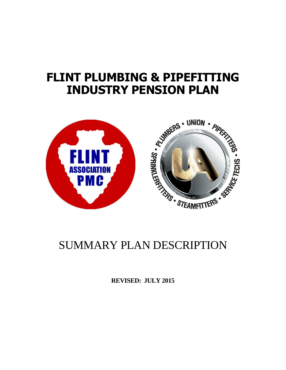# **FLINT PLUMBING & PIPEFITTING INDUSTRY PENSION PLAN**



**REVISED: JULY 2015**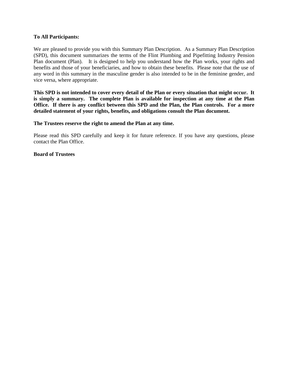#### **To All Participants:**

We are pleased to provide you with this Summary Plan Description. As a Summary Plan Description (SPD), this document summarizes the terms of the Flint Plumbing and Pipefitting Industry Pension Plan document (Plan). It is designed to help you understand how the Plan works, your rights and benefits and those of your beneficiaries, and how to obtain these benefits. Please note that the use of any word in this summary in the masculine gender is also intended to be in the feminine gender, and vice versa, where appropriate.

**This SPD is not intended to cover every detail of the Plan or every situation that might occur. It is simply a summary. The complete Plan is available for inspection at any time at the Plan Office. If there is any conflict between this SPD and the Plan, the Plan controls. For a more detailed statement of your rights, benefits, and obligations consult the Plan document.**

#### **The Trustees reserve the right to amend the Plan at any time.**

Please read this SPD carefully and keep it for future reference. If you have any questions, please contact the Plan Office.

#### **Board of Trustees**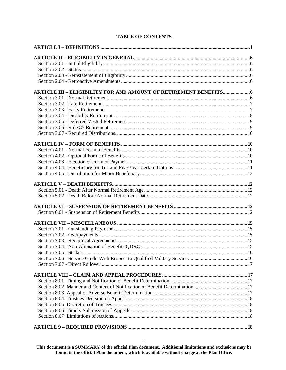# **TABLE OF CONTENTS**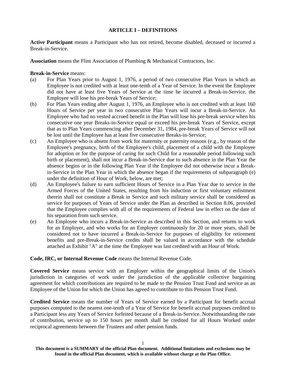#### **ARTICLE I – DEFINITIONS**

**Active Participant** means a Participant who has not retired, become disabled, deceased or incurred a Break-in-Service.

**Association** means the Flint Association of Plumbing & Mechanical Contractors, Inc.

**Break-in-Service** means:

- (a) For Plan Years prior to August 1, 1976, a period of two consecutive Plan Years in which an Employee is not credited with at least one-tenth of a Year of Service. In the event the Employee did not have at least five Years of Service at the time he incurred a Break-in-Service, the Employee will lose his pre-break Years of Service;
- (b) For Plan Years ending after August 1, 1976, an Employee who is not credited with at least 160 Hours of Service per year in two consecutive Plan Years will incur a Break-in-Service. An Employee who had no vested accrued benefit in the Plan will lose his pre-break service when his consecutive one year Breaks-in-Service equal or exceed his pre-break Years of Service, except that as to Plan Years commencing after December 31, 1984, pre-break Years of Service will not be lost until the Employee has at least five consecutive Breaks-in-Service;
- (c) An Employee who is absent from work for maternity or paternity reasons (e.g., by reason of the Employee's pregnancy, birth of the Employee's child, placement of a child with the Employee for adoption or for the purpose of caring for such Child for a reasonable period following such birth or placement), shall not incur a Break-in-Service due to such absence in the Plan Year the absence begins or in the following Plan Year if the Employee did not otherwise incur a Breakin-Service in the Plan Year in which the absence began if the requirements of subparagraph (e) under the definition of Hour of Work, below, are met;
- (d) An Employee's failure to earn sufficient Hours of Service in a Plan Year due to service in the Armed Forces of the United States, resulting from his induction or first voluntary enlistment therein shall not constitute a Break in Service and such military service shall be considered as service for purposes of Years of Service under the Plan as described in Section 8.06, provided that the Employee complies with all of the requirements of Federal law in effect on the date of his separation from such service.
- (e) An Employee who incurs a Break-in-Service as described in this Section, and returns to work for an Employer, and who works for an Employer continuously for 20 or more years, shall be considered not to have incurred a Break-in-Service for purposes of eligibility for retirement benefits and pre-Break-in-Service credits shall be valued in accordance with the schedule attached as Exhibit "A" at the time the Employee was last credited with an Hour of Work.

# **Code, IRC, or Internal Revenue Code** means the Internal Revenue Code.

**Covered Service** means service with an Employer within the geographical limits of the Union's jurisdiction in categories of work under the jurisdiction of the applicable collective bargaining agreement for which contributions are required to be made to the Pension Trust Fund and service as an Employee of the Union for which the Union has agreed to contribute to this Pension Trust Fund.

**Credited Service** means the number of Years of Service earned by a Participant for benefit accrual purposes computed to the nearest one-tenth of a Year of Service for benefit accrual purposes credited to a Participant less any Years of Service forfeited because of a Break-in-Service. Notwithstanding the rate of contribution, service up to 150 hours per month shall be credited for all Hours Worked under reciprocal agreements between the Trustees and other pension funds.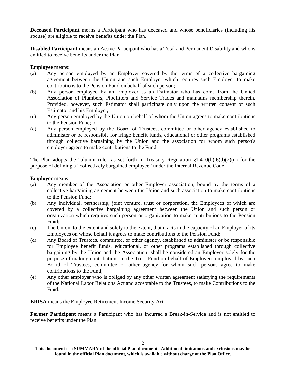**Deceased Participant** means a Participant who has deceased and whose beneficiaries (including his spouse) are eligible to receive benefits under the Plan.

**Disabled Participant** means an Active Participant who has a Total and Permanent Disability and who is entitled to receive benefits under the Plan.

**Employee** means:

- (a) Any person employed by an Employer covered by the terms of a collective bargaining agreement between the Union and such Employer which requires such Employer to make contributions to the Pension Fund on behalf of such person;
- (b) Any person employed by an Employer as an Estimator who has come from the United Association of Plumbers, Pipefitters and Service Trades and maintains membership therein. Provided, however, such Estimator shall participate only upon the written consent of such Estimator and his Employer;
- (c) Any person employed by the Union on behalf of whom the Union agrees to make contributions to the Pension Fund; or
- (d) Any person employed by the Board of Trustees, committee or other agency established to administer or be responsible for fringe benefit funds, educational or other programs established through collective bargaining by the Union and the association for whom such person's employer agrees to make contributions to the Fund.

The Plan adopts the "alumni rule" as set forth in Treasury Regulation  $\S1.410(b) - 6(d)(2)(ii)$  for the purpose of defining a "collectively bargained employee" under the Internal Revenue Code.

#### **Employer** means:

- (a) Any member of the Association or other Employer association, bound by the terms of a collective bargaining agreement between the Union and such association to make contributions to the Pension Fund;
- (b) Any individual, partnership, joint venture, trust or corporation, the Employees of which are covered by a collective bargaining agreement between the Union and such person or organization which requires such person or organization to make contributions to the Pension Fund;
- (c) The Union, to the extent and solely to the extent, that it acts in the capacity of an Employer of its Employees on whose behalf it agrees to make contributions to the Pension Fund;
- (d) Any Board of Trustees, committee, or other agency, established to administer or be responsible for Employee benefit funds, educational, or other programs established through collective bargaining by the Union and the Association, shall be considered an Employer solely for the purpose of making contributions to the Trust Fund on behalf of Employees employed by such Board of Trustees, committee or other agency for whom such persons agree to make contributions to the Fund;
- (e) Any other employer who is obliged by any other written agreement satisfying the requirements of the National Labor Relations Act and acceptable to the Trustees, to make Contributions to the Fund.

**ERISA** means the Employee Retirement Income Security Act.

**Former Participant** means a Participant who has incurred a Break-in-Service and is not entitled to receive benefits under the Plan.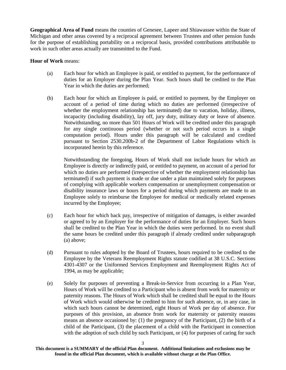**Geographical Area of Fund** means the counties of Genesee, Lapeer and Shiawassee within the State of Michigan and other areas covered by a reciprocal agreement between Trustees and other pension funds for the purpose of establishing portability on a reciprocal basis, provided contributions attributable to work in such other areas actually are transmitted to the Fund.

#### **Hour of Work** means:

- (a) Each hour for which an Employee is paid, or entitled to payment, for the performance of duties for an Employer during the Plan Year. Such hours shall be credited to the Plan Year in which the duties are performed;
- (b) Each hour for which an Employee is paid, or entitled to payment, by the Employer on account of a period of time during which no duties are performed (irrespective of whether the employment relationship has terminated) due to vacation, holiday, illness, incapacity (including disability), lay off, jury duty, military duty or leave of absence. Notwithstanding, no more than 501 Hours of Work will be credited under this paragraph for any single continuous period (whether or not such period occurs in a single computation period). Hours under this paragraph will be calculated and credited pursuant to Section 2530.200b-2 of the Department of Labor Regulations which is incorporated herein by this reference.

Notwithstanding the foregoing, Hours of Work shall not include hours for which an Employee is directly or indirectly paid, or entitled to payment, on account of a period for which no duties are performed (irrespective of whether the employment relationship has terminated) if such payment is made or due under a plan maintained solely for purposes of complying with applicable workers compensation or unemployment compensation or disability insurance laws or hours for a period during which payments are made to an Employee solely to reimburse the Employee for medical or medically related expenses incurred by the Employee;

- (c) Each hour for which back pay, irrespective of mitigation of damages, is either awarded or agreed to by an Employer for the performance of duties for an Employer. Such hours shall be credited to the Plan Year in which the duties were performed. In no event shall the same hours be credited under this paragraph if already credited under subparagraph (a) above;
- (d) Pursuant to rules adopted by the Board of Trustees, hours required to be credited to the Employee by the Veterans Reemployment Rights statute codified at 38 U.S.C. Sections 4301-4307 or the Uniformed Services Employment and Reemployment Rights Act of 1994, as may be applicable;
- (e) Solely for purposes of preventing a Break-in-Service from occurring in a Plan Year, Hours of Work will be credited to a Participant who is absent from work for maternity or paternity reasons. The Hours of Work which shall be credited shall be equal to the Hours of Work which would otherwise be credited to him for such absence, or, in any case, in which such hours cannot be determined, eight Hours of Work per day of absence. For purposes of this provision, an absence from work for maternity or paternity reasons means an absence occasioned by: (1) the pregnancy of the Participant, (2) the birth of a child of the Participant, (3) the placement of a child with the Participant in connection with the adoption of such child by such Participant, or  $(4)$  for purposes of caring for such

**This document is a SUMMARY of the official Plan document. Additional limitations and exclusions may be found in the official Plan document, which is available without charge at the Plan Office.**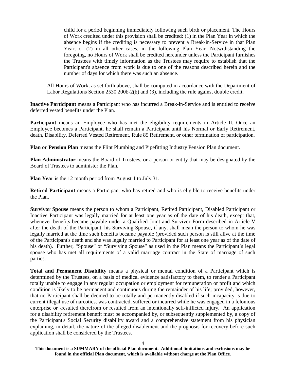child for a period beginning immediately following such birth or placement. The Hours of Work credited under this provision shall be credited: (1) in the Plan Year in which the absence begins if the crediting is necessary to prevent a Break-in-Service in that Plan Year, or (2) in all other cases, in the following Plan Year. Notwithstanding the foregoing, no Hours of Work shall be credited hereunder unless the Participant furnishes the Trustees with timely information as the Trustees may require to establish that the Participant's absence from work is due to one of the reasons described herein and the number of days for which there was such an absence.

All Hours of Work, as set forth above, shall be computed in accordance with the Department of Labor Regulations Section 2530.200b-2(b) and (3), including the rule against double credit.

**Inactive Participant** means a Participant who has incurred a Break-in-Service and is entitled to receive deferred vested benefits under the Plan.

**Participant** means an Employee who has met the eligibility requirements in Article II. Once an Employee becomes a Participant, he shall remain a Participant until his Normal or Early Retirement, death, Disability, Deferred Vested Retirement, Rule 85 Retirement, or other termination of participation.

**Plan or Pension Plan** means the Flint Plumbing and Pipefitting Industry Pension Plan document.

**Plan Administrator** means the Board of Trustees, or a person or entity that may be designated by the Board of Trustees to administer the Plan.

**Plan Year** is the 12 month period from August 1 to July 31.

**Retired Participant** means a Participant who has retired and who is eligible to receive benefits under the Plan.

**Survivor Spouse** means the person to whom a Participant, Retired Participant, Disabled Participant or Inactive Participant was legally married for at least one year as of the date of his death, except that, whenever benefits became payable under a Qualified Joint and Survivor Form described in Article V after the death of the Participant, his Surviving Spouse, if any, shall mean the person to whom he was legally married at the time such benefits became payable (provided such person is still alive at the time of the Participant's death and she was legally married to Participant for at least one year as of the date of his death). Further, "Spouse" or "Surviving Spouse" as used in the Plan means the Participant's legal spouse who has met all requirements of a valid marriage contract in the State of marriage of such parties.

**Total and Permanent Disability** means a physical or mental condition of a Participant which is determined by the Trustees, on a basis of medical evidence satisfactory to them, to render a Participant totally unable to engage in any regular occupation or employment for remuneration or profit and which condition is likely to be permanent and continuous during the remainder of his life; provided, however, that no Participant shall be deemed to be totally and permanently disabled if such incapacity is due to current illegal use of narcotics, was contracted, suffered or incurred while he was engaged in a felonious enterprise or -resulted therefrom or resulted from an intentionally self-inflicted injury. An application for a disability retirement benefit must be accompanied by, or subsequently supplemented by, a copy of the Participant's Social Security disability award and a comprehensive statement from his physician explaining, in detail, the nature of the alleged disablement and the prognosis for recovery before such application shall be considered by the Trustees.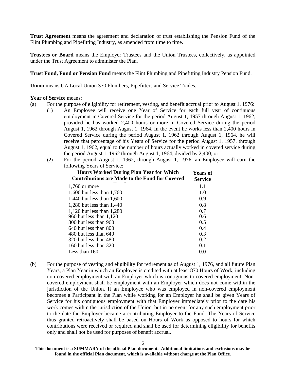**Trust Agreement** means the agreement and declaration of trust establishing the Pension Fund of the Flint Plumbing and Pipefitting Industry, as amended from time to time.

**Trustees or Board** means the Employer Trustees and the Union Trustees, collectively, as appointed under the Trust Agreement to administer the Plan.

**Trust Fund, Fund or Pension Fund** means the Flint Plumbing and Pipefitting Industry Pension Fund.

**Union** means UA Local Union 370 Plumbers, Pipefitters and Service Trades.

#### **Year of Service** means:

- (a) For the purpose of eligibility for retirement, vesting, and benefit accrual prior to August 1, 1976:
	- (1) An Employee will receive one Year of Service for each full year of continuous employment in Covered Service for the period August 1, 1957 through August 1, 1962, provided he has worked 2,400 hours or more in Covered Service during the period August 1, 1962 through August 1, 1964. In the event he works less than 2,400 hours in Covered Service during the period August 1, 1962 through August 1, 1964, he will receive that percentage of his Years of Service for the period August 1, 1957, through August 1, 1962, equal to the number of hours actually worked in covered service during the period August 1, 1962 through August 1, 1964, divided by 2,400; or
	- (2) For the period August 1, 1962, through August 1, 1976, an Employee will earn the following Years of Service:

| <b>Hours Worked During Plan Year for Which</b><br><b>Contributions are Made to the Fund for Covered</b> | <b>Years of</b><br><b>Service</b> |
|---------------------------------------------------------------------------------------------------------|-----------------------------------|
| $1,760$ or more                                                                                         | 1.1                               |
| 1,600 but less than 1,760                                                                               | 1.0                               |
| 1,440 but less than 1,600                                                                               | 0.9                               |
| 1,280 but less than 1,440                                                                               | 0.8                               |
| 1,120 but less than $1,280$                                                                             | 0.7                               |
| 960 but less than 1,120                                                                                 | 0.6                               |
| 800 but less than 960                                                                                   | 0.5                               |
| 640 but less than 800                                                                                   | 0.4                               |
| $480$ but less than $640$                                                                               | 0.3                               |
| 320 but less than 480                                                                                   | 0.2                               |
| 160 but less than $320$                                                                                 | 0.1                               |
| Less than $160$                                                                                         | 0.0                               |

(b) For the purpose of vesting and eligibility for retirement as of August 1, 1976, and all future Plan Years, a Plan Year in which an Employee is credited with at least 870 Hours of Work, including non-covered employment with an Employer which is contiguous to covered employment. Noncovered employment shall be employment with an Employer which does not come within the jurisdiction of the Union. If an Employee who was employed in non-covered employment becomes a Participant in the Plan while working for an Employer he shall be given Years of Service for his contiguous employment with that Employer immediately prior to the date his work comes within the jurisdiction of the Union, but in no event for any such employment prior to the date the Employer became a contributing Employer to the Fund. The Years of Service thus granted retroactively shall be based on Hours of Work as opposed to hours for which contributions were received or required and shall be used for determining eligibility for benefits only and shall not be used for purposes of benefit accrual.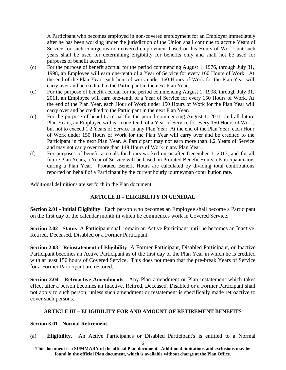A Participant who becomes employed in non-covered employment for an Employer immediately after he has been working under the jurisdiction of the Union shall continue to accrue Years of Service for such contiguous non-covered employment based on his Hours of Work; but such years shall be used for determining eligibility for benefits only and shall not be used for purposes of benefit accrual.

- (c) For the purpose of benefit accrual for the period commencing August 1, 1976, through July 31, 1998, an Employee will earn one-tenth of a Year of Service for every 160 Hours of Work. At the end of the Plan Year, each hour of work under 160 Hours of Work for the Plan Year will carry over and be credited to the Participant in the next Plan Year.
- (d) For the purpose of benefit accrual for the period commencing August 1, 1998, through July 31, 2011, an Employee will earn one-tenth of a Year of Service for every 150 Hours of Work. At the end of the Plan Year, each Hour of Work under 150 Hours of Work for the Plan Year will carry over and be credited to the Participant in the next Plan Year.
- (e) For the purpose of benefit accrual for the period commencing August 1, 2011, and all future Plan Years, an Employee will earn one-tenth of a Year of Service for every 150 Hours of Work, but not to exceed 1.2 Years of Service in any Plan Year. At the end of the Plan Year, each Hour of Work under 150 Hours of Work for the Plan Year will carry over and be credited to the Participant in the next Plan Year. A Participant may not earn more than 1.2 Years of Service and may not carry over more than 149 Hours of Work in any Plan Year.
- (f) For purposes of benefit accruals for hours worked on or after December 1, 2013, and for all future Plan Years, a Year of Service will be based on Prorated Benefit Hours a Participant earns during a Plan Year. Prorated Benefit Hours are calculated by dividing total contributions reported on behalf of a Participant by the current hourly journeyman contribution rate.

Additional definitions are set forth in the Plan document.

# **ARTICLE II – ELIGIBILITY IN GENERAL**

**Section 2.01 - Initial Eligibility** Each person who becomes an Employee shall become a Participant on the first day of the calendar month in which he commences work in Covered Service.

**Section 2.02 - Status** A Participant shall remain an Active Participant until he becomes an Inactive, Retired, Deceased, Disabled or a Former Participant.

**Section 2.03 - Reinstatement of Eligibility** A Former Participant, Disabled Participant, or Inactive Participant becomes an Active Participant as of the first day of the Plan Year in which he is credited with at least 150 hours of Covered Service. This does not mean that the pre-break Years of Service for a Former Participant are restored.

**Section 2.04 - Retroactive Amendments.** Any Plan amendment or Plan restatement which takes effect after a person becomes an Inactive, Retired, Deceased, Disabled or a Former Participant shall not apply to such person, unless such amendment or restatement is specifically made retroactive to cover such persons.

# **ARTICLE III – ELIGIBILITY FOR AND AMOUNT OF RETIREMENT BENEFITS**

#### **Section 3.01 - Normal Retirement.**

(a) **Eligibility**. An Active Participant's or Disabled Participant's is entitled to a Normal

6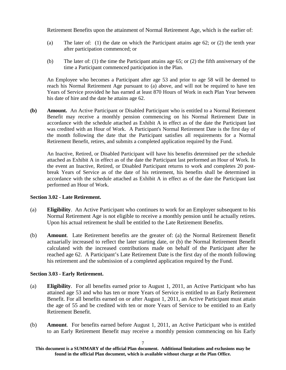Retirement Benefits upon the attainment of Normal Retirement Age, which is the earlier of:

- (a) The later of: (1) the date on which the Participant attains age 62; or (2) the tenth year after participation commenced; or
- (b) The later of: (1) the time the Participant attains age 65; or (2) the fifth anniversary of the time a Participant commenced participation in the Plan.

An Employee who becomes a Participant after age 53 and prior to age 58 will be deemed to reach his Normal Retirement Age pursuant to (a) above, and will not be required to have ten Years of Service provided he has earned at least 870 Hours of Work in each Plan Year between his date of hire and the date he attains age 62.

**(b) Amount.** An Active Participant or Disabled Participant who is entitled to a Normal Retirement Benefit may receive a monthly pension commencing on his Normal Retirement Date in accordance with the schedule attached as Exhibit A in effect as of the date the Participant last was credited with an Hour of Work. A Participant's Normal Retirement Date is the first day of the month following the date that the Participant satisfies all requirements for a Normal Retirement Benefit, retires, and submits a completed application required by the Fund.

An Inactive, Retired, or Disabled Participant will have his benefits determined per the schedule attached as Exhibit A in effect as of the date the Participant last performed an Hour of Work. In the event an Inactive, Retired, or Disabled Participant returns to work and completes 20 postbreak Years of Service as of the date of his retirement, his benefits shall be determined in accordance with the schedule attached as Exhibit A in effect as of the date the Participant last performed an Hour of Work.

# **Section 3.02 - Late Retirement.**

- (a) **Eligibility**. An Active Participant who continues to work for an Employer subsequent to his Normal Retirement Age is not eligible to receive a monthly pension until he actually retires. Upon his actual retirement he shall be entitled to the Late Retirement Benefits.
- (b) **Amount**. Late Retirement benefits are the greater of: (a) the Normal Retirement Benefit actuarially increased to reflect the later starting date, or (b) the Normal Retirement Benefit calculated with the increased contributions made on behalf of the Participant after he reached age 62. A Participant's Late Retirement Date is the first day of the month following his retirement and the submission of a completed application required by the Fund.

# **Section 3.03 - Early Retirement.**

- (a) **Eligibility**. For all benefits earned prior to August 1, 2011, an Active Participant who has attained age 53 and who has ten or more Years of Service is entitled to an Early Retirement Benefit. For all benefits earned on or after August 1, 2011, an Active Participant must attain the age of 55 and be credited with ten or more Years of Service to be entitled to an Early Retirement Benefit.
- (b) **Amount**. For benefits earned before August 1, 2011, an Active Participant who is entitled to an Early Retirement Benefit may receive a monthly pension commencing on his Early

**This document is a SUMMARY of the official Plan document. Additional limitations and exclusions may be found in the official Plan document, which is available without charge at the Plan Office.**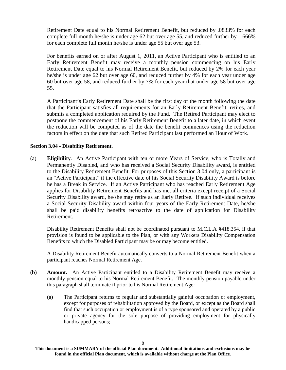Retirement Date equal to his Normal Retirement Benefit, but reduced by .0833% for each complete full month he/she is under age 62 but over age 55, and reduced further by .1666% for each complete full month he/she is under age 55 but over age 53.

For benefits earned on or after August 1, 2011, an Active Participant who is entitled to an Early Retirement Benefit may receive a monthly pension commencing on his Early Retirement Date equal to his Normal Retirement Benefit, but reduced by 2% for each year he/she is under age 62 but over age 60, and reduced further by 4% for each year under age 60 but over age 58, and reduced further by 7% for each year that under age 58 but over age 55.

A Participant's Early Retirement Date shall be the first day of the month following the date that the Participant satisfies all requirements for an Early Retirement Benefit, retires, and submits a completed application required by the Fund. The Retired Participant may elect to postpone the commencement of his Early Retirement Benefit to a later date, in which event the reduction will be computed as of the date the benefit commences using the reduction factors in effect on the date that such Retired Participant last performed an Hour of Work.

# **Section 3.04 - Disability Retirement.**

(a) **Eligibility**. An Active Participant with ten or more Years of Service, who is Totally and Permanently Disabled, and who has received a Social Security Disability award, is entitled to the Disability Retirement Benefit. For purposes of this Section 3.04 only, a participant is an "Active Participant" if the effective date of his Social Security Disability Award is before he has a Break in Service. If an Active Participant who has reached Early Retirement Age applies for Disability Retirement Benefits and has met all criteria except receipt of a Social Security Disability award, he/she may retire as an Early Retiree. If such individual receives a Social Security Disability award within four years of the Early Retirement Date, he/she shall be paid disability benefits retroactive to the date of application for Disability Retirement.

Disability Retirement Benefits shall not be coordinated pursuant to M.C.L.A §418.354, if that provision is found to be applicable to the Plan, or with any Workers Disability Compensation Benefits to which the Disabled Participant may be or may become entitled.

A Disability Retirement Benefit automatically converts to a Normal Retirement Benefit when a participant reaches Normal Retirement Age.

- **(b) Amount.** An Active Participant entitled to a Disability Retirement Benefit may receive a monthly pension equal to his Normal Retirement Benefit. The monthly pension payable under this paragraph shall terminate if prior to his Normal Retirement Age:
	- (a) The Participant returns to regular and substantially gainful occupation or employment, except for purposes of rehabilitation approved by the Board, or except as the Board shall find that such occupation or employment is of a type sponsored and operated by a public or private agency for the sole purpose of providing employment for physically handicapped persons;

**This document is a SUMMARY of the official Plan document. Additional limitations and exclusions may be found in the official Plan document, which is available without charge at the Plan Office.**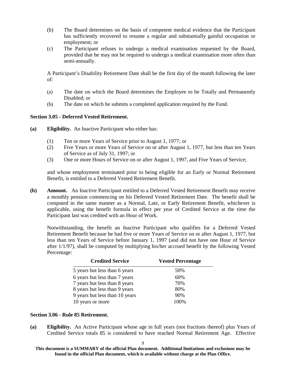- (b) The Board determines on the basis of competent medical evidence that the Participant has sufficiently recovered to resume a regular and substantially gainful occupation or employment; or
- (c) The Participant refuses to undergo a medical examination requested by the Board, provided that he may not be required to undergo a medical examination more often than semi-annually.

A Participant's Disability Retirement Date shall be the first day of the month following the later of:

- (a) The date on which the Board determines the Employee to be Totally and Permanently Disabled; or
- (b) The date on which he submits a completed application required by the Fund.

#### **Section 3.05 - Deferred Vested Retirement.**

- **(a) Eligibility.** An Inactive Participant who either has:
	- (1) Ten or more Years of Service prior to August 1, 1977; or
	- (2) Five Years or more Years of Service on or after August 1, 1977, but less than ten Years of Service as of July 31, 1997; or
	- (3) One or more Hours of Service on or after August 1, 1997, and Five Years of Service;

and whose employment terminated prior to being eligible for an Early or Normal Retirement Benefit, is entitled to a Deferred Vested Retirement Benefit.

**(b) Amount.** An Inactive Participant entitled to a Deferred Vested Retirement Benefit may receive a monthly pension commencing on his Deferred Vested Retirement Date. The benefit shall be computed in the same manner as a Normal, Late, or Early Retirement Benefit, whichever is applicable, using the benefit formula in effect per year of Credited Service at the time the Participant last was credited with an Hour of Work.

Notwithstanding, the benefit an Inactive Participant who qualifies for a Deferred Vested Retirement Benefit because he had five or more Years of Service on or after August 1, 1977, but less than ten Years of Service before January 1, 1997 (and did not have one Hour of Service after 1/1/97), shall be computed by multiplying his/her accrued benefit by the following Vested Percentage:

| <b>Credited Service</b>        | <b>Vested Percentage</b> |
|--------------------------------|--------------------------|
| 5 years but less than 6 years  | 50%                      |
| 6 years but less than 7 years  | 60%                      |
| 7 years but less than 8 years  | 70%                      |
| 8 years but less than 9 years  | 80%                      |
| 9 years but less than 10 years | 90%                      |
| 10 years or more               | 100\%                    |

# **Section 3.06 - Rule 85 Retirement.**

**(a) Eligibility.** An Active Participant whose age in full years (not fractions thereof) plus Years of Credited Service totals 85 is considered to have reached Normal Retirement Age. Effective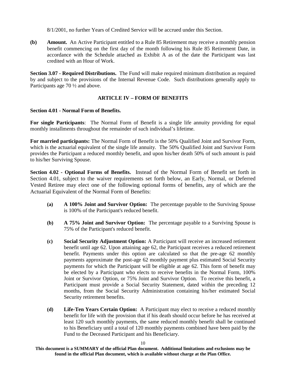8/1/2001, no further Years of Credited Service will be accrued under this Section.

**(b) Amount.** An Active Participant entitled to a Rule 85 Retirement may receive a monthly pension benefit commencing on the first day of the month following his Rule 85 Retirement Date, in accordance with the Schedule attached as Exhibit A as of the date the Participant was last credited with an Hour of Work.

**Section 3.07 - Required Distributions.** The Fund will make required minimum distribution as required by and subject to the provisions of the Internal Revenue Code. Such distributions generally apply to Participants age 70 ½ and above.

# **ARTICLE IV – FORM OF BENEFITS**

# **Section 4.01 - Normal Form of Benefits.**

**For single Participants**: The Normal Form of Benefit is a single life annuity providing for equal monthly installments throughout the remainder of such individual's lifetime.

**For married participants:** The Normal Form of Benefit is the 50% Qualified Joint and Survivor Form, which is the actuarial equivalent of the single life annuity. The 50% Qualified Joint and Survivor Form provides the Participant a reduced monthly benefit, and upon his/her death 50% of such amount is paid to his/her Surviving Spouse.

**Section 4.02 - Optional Forms of Benefits.** Instead of the Normal Form of Benefit set forth in Section 4.01, subject to the waiver requirements set forth below, an Early, Normal, or Deferred Vested Retiree may elect one of the following optional forms of benefits, any of which are the Actuarial Equivalent of the Normal Form of Benefits:

- **(a) A 100% Joint and Survivor Option:** The percentage payable to the Surviving Spouse is 100% of the Participant's reduced benefit.
- **(b) A 75% Joint and Survivor Option:** The percentage payable to a Surviving Spouse is 75% of the Participant's reduced benefit.
- **(c) Social Security Adjustment Option:** A Participant will receive an increased retirement benefit until age 62. Upon attaining age 62, the Participant receives a reduced retirement benefit. Payments under this option are calculated so that the pre-age 62 monthly payments approximate the post-age 62 monthly payment plus estimated Social Security payments for which the Participant will be eligible at age 62. This form of benefit may be elected by a Participant who elects to receive benefits in the Normal Form, 100% Joint or Survivor Option, or 75% Joint and Survivor Option. To receive this benefit, a Participant must provide a Social Security Statement, dated within the preceding 12 months, from the Social Security Administration containing his/her estimated Social Security retirement benefits.
- **(d) Life-Ten Years Certain Option:** A Participant may elect to receive a reduced monthly benefit for life with the provision that if his death should occur before he has received at least 120 such monthly payments, the same reduced monthly benefit shall be continued to his Beneficiary until a total of 120 monthly payments combined have been paid by the Fund to the Deceased Participant and his Beneficiary.

**This document is a SUMMARY of the official Plan document. Additional limitations and exclusions may be found in the official Plan document, which is available without charge at the Plan Office.**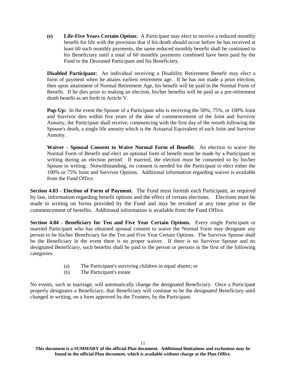**(e) Life-Five Years Certain Option:** A Participant may elect to receive a reduced monthly benefit for life with the provision that if his death should occur before he has received at least 60 such monthly payments, the same reduced monthly benefit shall be continued to his Beneficiary until a total of 60 monthly payments combined have been paid by the Fund to the Deceased Participant and his Beneficiary.

**Disabled Participant:** An individual receiving a Disability Retirement Benefit may elect a form of payment when he attains earliest retirement age. If he has not made a prior election, then upon attainment of Normal Retirement Age, his benefit will be paid in the Normal Form of Benefit. If he dies prior to making an election, his/her benefits will be paid as a pre-retirement death benefit as set forth in Article V.

**Pop-Up:** In the event the Spouse of a Participant who is receiving the 50%, 75%, or 100% Joint and Survivor dies within five years of the date of commencement of the Joint and Survivor Annuity, the Participant shall receive, commencing with the first day of the month following the Spouse's death, a single life annuity which is the Actuarial Equivalent of such Joint and Survivor Annuity.

**Waiver - Spousal Consent to Waive Normal Form of Benefit:** An election to waive the Normal Form of Benefit and elect an optional form of benefit must be made by a Participant in writing during an election period. If married, the election must be consented to by his/her Spouse in writing. Notwithstanding, no consent is needed for the Participant to elect either the 100% or 75% Joint and Survivor Options. Additional information regarding waiver is available from the Fund Office.

**Section 4.03 - Election of Form of Payment.** The Fund must furnish each Participant, as required by law, information regarding benefit options and the effect of certain elections. Elections must be made in writing on forms provided by the Fund and may be revoked at any time prior to the commencement of benefits. Additional information is available from the Fund Office.

**Section 4.04 - Beneficiary for Ten and Five Year Certain Options.** Every single Participant or married Participant who has obtained spousal consent to waive the Normal Form may designate any person to be his/her Beneficiary for the Ten and Five Year Certain Options. The Survivor Spouse shall be the Beneficiary in the event there is no proper waiver. If there is no Survivor Spouse and no designated Beneficiary, such benefits shall be paid to the person or persons in the first of the following categories:

- (a) The Participant's surviving children in equal shares; or
- (b) The Participant's estate.

No events, such as marriage, will automatically change the designated Beneficiary. Once a Participant properly designates a Beneficiary, that Beneficiary will continue to be the designated Beneficiary until changed in writing, on a form approved by the Trustees, by the Participant.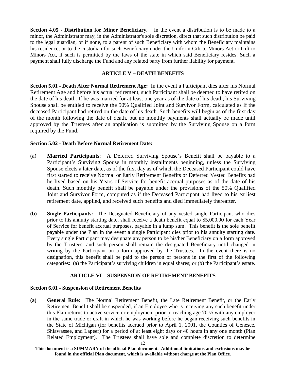**Section 4.05 - Distribution for Minor Beneficiary.** In the event a distribution is to be made to a minor, the Administrator may, in the Administrator's sole discretion, direct that such distribution be paid to the legal guardian, or if none, to a parent of such Beneficiary with whom the Beneficiary maintains his residence, or to the custodian for such Beneficiary under the Uniform Gift to Minors Act or Gift to Minors Act, if such is permitted by the laws of the state in which said Beneficiary resides. Such a payment shall fully discharge the Fund and any related party from further liability for payment.

# **ARTICLE V – DEATH BENEFITS**

**Section 5.01 - Death After Normal Retirement Age:** In the event a Participant dies after his Normal Retirement Age and before his actual retirement, such Participant shall be deemed to have retired on the date of his death. If he was married for at least one year as of the date of his death, his Surviving Spouse shall be entitled to receive the 50% Qualified Joint and Survivor Form, calculated as if the deceased Participant had retired on the date of his death. Such benefits will begin as of the first day of the month following the date of death, but no monthly payments shall actually be made until approved by the Trustees after an application is submitted by the Surviving Spouse on a form required by the Fund.

#### **Section 5.02 - Death Before Normal Retirement Date:**

- (a) **Married Participants**: A Deferred Surviving Spouse's Benefit shall be payable to a Participant's Surviving Spouse in monthly installments beginning, unless the Surviving Spouse elects a later date, as of the first day as of which the Deceased Participant could have first started to receive Normal or Early Retirement Benefits or Deferred Vested Benefits had he lived based on his Years of Service for benefit accrual purposes as of the date of his death. Such monthly benefit shall be payable under the provisions of the 50% Qualified Joint and Survivor Form, computed as if the Deceased Participant had lived to his earliest retirement date, applied, and received such benefits and died immediately thereafter.
- **(b) Single Participants:** The Designated Beneficiary of any vested single Participant who dies prior to his annuity starting date, shall receive a death benefit equal to \$5,000.00 for each Year of Service for benefit accrual purposes, payable in a lump sum. This benefit is the sole benefit payable under the Plan in the event a single Participant dies prior to his annuity starting date. Every single Participant may designate any person to be his/her Beneficiary on a form approved by the Trustees, and such person shall remain the designated Beneficiary until changed in writing by the Participant on a form approved by the Trustees. In the event there is no designation, this benefit shall be paid to the person or persons in the first of the following categories: (a) the Participant's surviving children in equal shares; or (b) the Participant's estate.

# **ARTICLE VI – SUSPENSION OF RETIREMENT BENEFITS**

#### **Section 6.01 - Suspension of Retirement Benefits**

**(a) General Rule:** The Normal Retirement Benefit, the Late Retirement Benefit, or the Early Retirement Benefit shall be suspended, if an Employee who is receiving any such benefit under this Plan returns to active service or employment prior to reaching age 70 ½ with any employer in the same trade or craft in which he was working before he began receiving such benefits in the State of Michigan (for benefits accrued prior to April 1, 2001, the Counties of Genesee, Shiawassee, and Lapeer) for a period of at least eight days or 40 hours in any one month (Plan Related Employment). The Trustees shall have sole and complete discretion to determine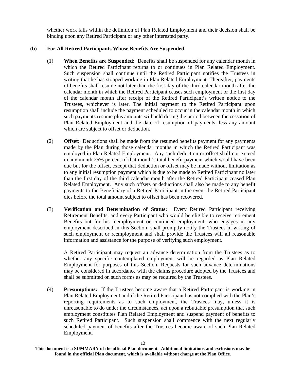whether work falls within the definition of Plan Related Employment and their decision shall be binding upon any Retired Participant or any other interested party.

# **(b) For All Retired Participants Whose Benefits Are Suspended**

- (1) **When Benefits are Suspended:** Benefits shall be suspended for any calendar month in which the Retired Participant returns to or continues in Plan Related Employment. Such suspension shall continue until the Retired Participant notifies the Trustees in writing that he has stopped working in Plan Related Employment. Thereafter, payments of benefits shall resume not later than the first day of the third calendar month after the calendar month in which the Retired Participant ceases such employment or the first day of the calendar month after receipt of the Retired Participant's written notice to the Trustees, whichever is later. The initial payment to the Retired Participant upon resumption shall include the payment scheduled to occur in the calendar month in which such payments resume plus amounts withheld during the period between the cessation of Plan Related Employment and the date of resumption of payments, less any amount which are subject to offset or deduction.
- (2) **Offset:** Deductions shall be made from the resumed benefits payment for any payments made by the Plan during those calendar months in which the Retired Participant was employed in Plan Related Employment. Any such deduction or offset shall not exceed in any month 25% percent of that month's total benefit payment which would have been due but for the offset, except that deduction or offset may be made without limitation as to any initial resumption payment which is due to be made to Retired Participant no later than the first day of the third calendar month after the Retired Participant ceased Plan Related Employment. Any such offsets or deductions shall also be made to any benefit payments to the Beneficiary of a Retired Participant in the event the Retired Participant dies before the total amount subject to offset has been recovered.
- (3) **Verification and Determination of Status:** Every Retired Participant receiving Retirement Benefits, and every Participant who would be eligible to receive retirement Benefits but for his reemployment or continued employment, who engages in any employment described in this Section, shall promptly notify the Trustees in writing of such employment or reemployment and shall provide the Trustees will all reasonable information and assistance for the purpose of verifying such employment.

A Retired Participant may request an advance determination from the Trustees as to whether any specific contemplated employment will be regarded as Plan Related Employment for purposes of this Section. Requests for such advance determinations may be considered in accordance with the claims procedure adopted by the Trustees and shall be submitted on such forms as may be required by the Trustees.

(4) **Presumptions:** If the Trustees become aware that a Retired Participant is working in Plan Related Employment and if the Retired Participant has not complied with the Plan's reporting requirements as to such employment, the Trustees may, unless it is unreasonable to do under the circumstances, act upon a rebuttable presumption that such employment constitutes Plan Related Employment and suspend payment of benefits to such Retired Participant. Such suspension shall commence with the next regularly scheduled payment of benefits after the Trustees become aware of such Plan Related Employment.

**This document is a SUMMARY of the official Plan document. Additional limitations and exclusions may be found in the official Plan document, which is available without charge at the Plan Office.**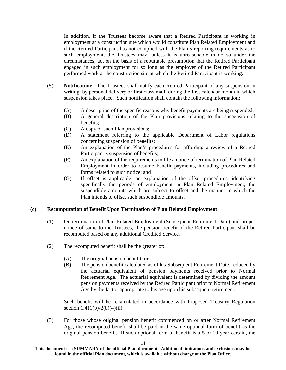In addition, if the Trustees become aware that a Retired Participant is working in employment at a construction site which would constitute Plan Related Employment and if the Retired Participant has not complied with the Plan's reporting requirements as to such employment, the Trustees may, unless it is unreasonable to do so under the circumstances, act on the basis of a rebuttable presumption that the Retired Participant engaged in such employment for so long as the employer of the Retired Participant performed work at the construction site at which the Retired Participant is working.

- (5) **Notification:** The Trustees shall notify each Retired Participant of any suspension in writing, by personal delivery or first class mail, during the first calendar month in which suspension takes place. Such notification shall contain the following information:
	- (A) A description of the specific reasons why benefit payments are being suspended;
	- (B) A general description of the Plan provisions relating to the suspension of benefits;
	- (C) A copy of such Plan provisions;
	- (D) A statement referring to the applicable Department of Labor regulations concerning suspension of benefits;
	- (E) An explanation of the Plan's procedures for affording a review of a Retired Participant's suspension of benefits;
	- (F) An explanation of the requirements to file a notice of termination of Plan Related Employment in order to resume benefit payments, including procedures and forms related to such notice; and
	- (G) If offset is applicable, an explanation of the offset procedures, identifying specifically the periods of employment in Plan Related Employment, the suspendible amounts which are subject to offset and the manner in which the Plan intends to offset such suspendible amounts.

#### **(c) Recomputation of Benefit Upon Termination of Plan Related Employment**

- (1) On termination of Plan Related Employment (Subsequent Retirement Date) and proper notice of same to the Trustees, the pension benefit of the Retired Participant shall be recomputed based on any additional Credited Service.
- (2) The recomputed benefit shall be the greater of:
	- (A) The original pension benefit; or
	- (B) The pension benefit calculated as of his Subsequent Retirement Date, reduced by the actuarial equivalent of pension payments received prior to Normal Retirement Age. The actuarial equivalent is determined by dividing the amount pension payments received by the Retired Participant prior to Normal Retirement Age by the factor appropriate to his age upon his subsequent retirement.

Such benefit will be recalculated in accordance with Proposed Treasury Regulation section  $1.411(b) - 2(b)(4)(ii)$ .

(3) For those whose original pension benefit commenced on or after Normal Retirement Age, the recomputed benefit shall be paid in the same optional form of benefit as the original pension benefit. If such optional form of benefit is a 5 or 10 year certain, the

**This document is a SUMMARY of the official Plan document. Additional limitations and exclusions may be found in the official Plan document, which is available without charge at the Plan Office.**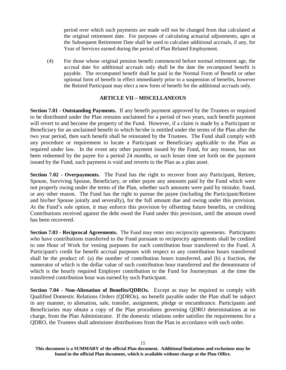period over which such payments are made will not be changed from that calculated at the original retirement date. For purposes of calculating actuarial adjustments, ages at the Subsequent Retirement Date shall be used to calculate additional accruals, if any, for Year of Services earned during the period of Plan Related Employment.

(4) For those whose original pension benefit commenced before normal retirement age, the accrual date for additional accruals only shall be the date the recomputed benefit is payable. The recomputed benefit shall be paid in the Normal Form of Benefit or other optional form of benefit in effect immediately prior to a suspension of benefits, however the Retired Participant may elect a new form of benefit for the additional accruals only.

# **ARTICLE VII – MISCELLANEOUS**

**Section 7.01 - Outstanding Payments.** If any benefit payment approved by the Trustees or required to be distributed under the Plan remains unclaimed for a period of two years, such benefit payment will revert to and become the property of the Fund. However, if a claim is made by a Participant or Beneficiary for an unclaimed benefit to which he/she is entitled under the terms of the Plan after the two year period, then such benefit shall be reinstated by the Trustees. The Fund shall comply with any procedure or requirement to locate a Participant or Beneficiary applicable to the Plan as required under law. In the event any other payment issued by the Fund, for any reason, has not been redeemed by the payee for a period 24 months, or such lesser time set forth on the payment issued by the Fund, such payment is void and reverts to the Plan as a plan asset.

**Section 7.02 - Overpayments.** The Fund has the right to recover from any Participant, Retiree, Spouse, Surviving Spouse, Beneficiary, or other payee any amounts paid by the Fund which were not properly owing under the terms of the Plan, whether such amounts were paid by mistake, fraud, or any other reason. The Fund has the right to pursue the payee (including the Participant/Retiree and his/her Spouse jointly and severally), for the full amount due and owing under this provision. At the Fund's sole option, it may enforce this provision by offsetting future benefits, or crediting Contributions received against the debt owed the Fund under this provision, until the amount owed has been recovered.

**Section 7.03 - Reciprocal Agreements.** The Fund may enter into reciprocity agreements. Participants who have contributions transferred to the Fund pursuant to reciprocity agreements shall be credited to one Hour of Work for vesting purposes for each contribution hour transferred to the Fund. A Participant's credit for benefit accrual purposes with respect to any contribution hours transferred shall be the product of: (a) the number of contribution hours transferred, and (b) a fraction, the numerator of which is the dollar value of such contribution hour transferred and the denominator of which is the hourly required Employer contribution to the Fund for Journeyman at the time the transferred contribution hour was earned by such Participant.

**Section 7.04 - Non-Alienation of Benefits/QDROs.** Except as may be required to comply with Qualified Domestic Relations Orders (QDROs), no benefit payable under the Plan shall be subject in any manner, to alienation, sale, transfer, assignment, pledge or encumbrance. Participants and Beneficiaries may obtain a copy of the Plan procedures governing QDRO determinations at no charge, from the Plan Administrator. If the domestic relations order satisfies the requirements for a QDRO, the Trustees shall administer distributions from the Plan in accordance with such order.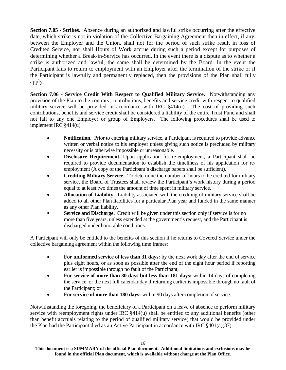**Section 7.05 - Strikes.** Absence during an authorized and lawful strike occurring after the effective date, which strike is not in violation of the Collective Bargaining Agreement then in effect, if any, between the Employer and the Union, shall not for the period of such strike result in loss of Credited Service, nor shall Hours of Work accrue during such a period except for purposes of determining whether a Break-in-Service has occurred. In the event there is a dispute as to whether a strike is authorized and lawful, the same shall be determined by the Board. In the event the Participant fails to return to employment with an Employer after the termination of the strike or if the Participant is lawfully and permanently replaced, then the provisions of the Plan shall fully apply.

**Section 7.06 - Service Credit With Respect to Qualified Military Service.** Notwithstanding any provision of the Plan to the contrary, contributions, benefits and service credit with respect to qualified military service will be provided in accordance with IRC  $\frac{1}{4}(u)$ . The cost of providing such contributions, benefits and service credit shall be considered a liability of the entire Trust Fund and shall not fall to any one Employer or group of Employers. The following procedures shall be used to implement IRC §414(u):

- **Notification.** Prior to entering military service, a Participant is required to provide advance written or verbal notice to his employer unless giving such notice is precluded by military necessity or is otherwise impossible or unreasonable.
- **Disclosure Requirement.** Upon application for re-employment, a Participant shall be required to provide documentation to establish the timeliness of his application for reemployment (A copy of the Participant's discharge papers shall be sufficient).
- **Crediting Military Service.** To determine the number of hours to be credited for military service, the Board of Trustees shall review the Participant's work history during a period equal to at least two times the amount of time spent in military service.
- **Allocation of Liability.** Liability associated with the crediting of military service shall be added to all other Plan liabilities for a particular Plan year and funded in the same manner as any other Plan liability.
- **Service and Discharge.** Credit will be given under this section only if service is for no more than five years, unless extended at the government's request, and the Participant is discharged under honorable conditions.

A Participant will only be entitled to the benefits of this section if he returns to Covered Service under the collective bargaining agreement within the following time frames:

- **For uniformed service of less than 31 days:** by the next work day after the end of service plus eight hours, or as soon as possible after the end of the eight hour period if reporting earlier is impossible through no fault of the Participant;
- For service of more than 30 days but less than 181 days: within 14 days of completing the service, or the next full calendar day if returning earlier is impossible through no fault of the Participant; or
- **For service of more than 180 days:** within 90 days after completion of service.

Notwithstanding the foregoing, the beneficiary of a Participant on a leave of absence to perform military service with reemployment rights under IRC §414(u) shall be entitled to any additional benefits (other than benefit accruals relating to the period of qualified military service) that would be provided under the Plan had the Participant died as an Active Participant in accordance with IRC §401(a)(37).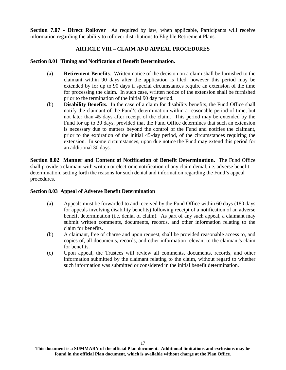**Section 7.07 - Direct Rollover** As required by law, when applicable, Participants will receive information regarding the ability to rollover distributions to Eligible Retirement Plans.

# **ARTICLE VIII – CLAIM AND APPEAL PROCEDURES**

#### **Section 8.01 Timing and Notification of Benefit Determination.**

- (a) **Retirement Benefits**. Written notice of the decision on a claim shall be furnished to the claimant within 90 days after the application is filed, however this period may be extended by for up to 90 days if special circumstances require an extension of the time for processing the claim. In such case, written notice of the extension shall be furnished prior to the termination of the initial 90 day period.
- (b) **Disability Benefits.** In the case of a claim for disability benefits, the Fund Office shall notify the claimant of the Fund's determination within a reasonable period of time, but not later than 45 days after receipt of the claim. This period may be extended by the Fund for up to 30 days, provided that the Fund Office determines that such an extension is necessary due to matters beyond the control of the Fund and notifies the claimant, prior to the expiration of the initial 45-day period, of the circumstances requiring the extension. In some circumstances, upon due notice the Fund may extend this period for an additional 30 days.

**Section 8.02 Manner and Content of Notification of Benefit Determination.** The Fund Office shall provide a claimant with written or electronic notification of any claim denial, i.e. adverse benefit determination, setting forth the reasons for such denial and information regarding the Fund's appeal procedures.

# **Section 8.03 Appeal of Adverse Benefit Determination**

- (a) Appeals must be forwarded to and received by the Fund Office within 60 days (180 days for appeals involving disability benefits) following receipt of a notification of an adverse benefit determination (i.e. denial of claim). As part of any such appeal, a claimant may submit written comments, documents, records, and other information relating to the claim for benefits.
- (b) A claimant, free of charge and upon request, shall be provided reasonable access to, and copies of, all documents, records, and other information relevant to the claimant's claim for benefits.
- (c) Upon appeal, the Trustees will review all comments, documents, records, and other information submitted by the claimant relating to the claim, without regard to whether such information was submitted or considered in the initial benefit determination.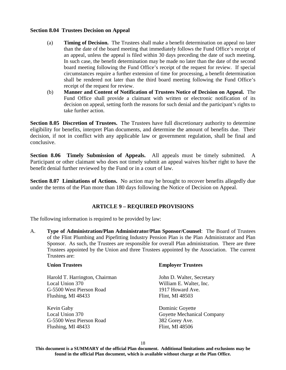#### **Section 8.04 Trustees Decision on Appeal**

- (a) **Timing of Decision.** The Trustees shall make a benefit determination on appeal no later than the date of the board meeting that immediately follows the Fund Office's receipt of an appeal, unless the appeal is filed within 30 days preceding the date of such meeting. In such case, the benefit determination may be made no later than the date of the second board meeting following the Fund Office's receipt of the request for review. If special circumstances require a further extension of time for processing, a benefit determination shall be rendered not later than the third board meeting following the Fund Office's receipt of the request for review.
- (b) **Manner and Content of Notification of Trustees Notice of Decision on Appeal.** The Fund Office shall provide a claimant with written or electronic notification of its decision on appeal, setting forth the reasons for such denial and the participant's rights to take further action.

**Section 8.05 Discretion of Trustees.** The Trustees have full discretionary authority to determine eligibility for benefits, interpret Plan documents, and determine the amount of benefits due. Their decision, if not in conflict with any applicable law or government regulation, shall be final and conclusive.

**Section 8.06 Timely Submission of Appeals.** All appeals must be timely submitted. A Participant or other claimant who does not timely submit an appeal waives his/her right to have the benefit denial further reviewed by the Fund or in a court of law.

**Section 8.07 Limitations of Actions.** No action may be brought to recover benefits allegedly due under the terms of the Plan more than 180 days following the Notice of Decision on Appeal.

# **ARTICLE 9 – REQUIRED PROVISIONS**

The following information is required to be provided by law:

A. **Type of Administration/Plan Administrator/Plan Sponsor/Counsel**: The Board of Trustees of the Flint Plumbing and Pipefitting Industry Pension Plan is the Plan Administrator and Plan Sponsor. As such, the Trustees are responsible for overall Plan administration. There are three Trustees appointed by the Union and three Trustees appointed by the Association. The current Trustees are:

| <b>Union Trustees</b>          | <b>Employer Trustees</b>   |
|--------------------------------|----------------------------|
| Harold T. Harrington, Chairman | John D. Walter, Secretary  |
| Local Union 370                | William E. Walter, Inc.    |
| G-5500 West Pierson Road       | 1917 Howard Ave.           |
| Flushing, MI 48433             | Flint, MI 48503            |
| Kevin Gaby                     | Dominic Goyette            |
| Local Union 370                | Goyette Mechanical Company |
| G-5500 West Pierson Road       | 382 Gorey Ave.             |
| Flushing, MI 48433             | Flint, MI 48506            |

18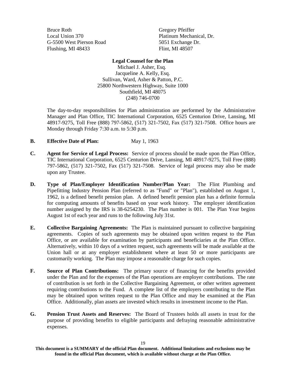Bruce Roth Local Union 370 G-5500 West Pierson Road Flushing, MI 48433

Gregory Pfeiffer Platinum Mechanical, Dr. 5051 Exchange Dr. Flint, MI 48507

#### **Legal Counsel for the Plan**

Michael J. Asher, Esq. Jacqueline A. Kelly, Esq. Sullivan, Ward, Asher & Patton, P.C. 25800 Northwestern Highway, Suite 1000 Southfield, MI 48075 (248) 746-0700

The day-to-day responsibilities for Plan administration are performed by the Administrative Manager and Plan Office, TIC International Corporation, 6525 Centurion Drive, Lansing, MI 48917-9275, Toll Free (888) 797-5862, (517) 321-7502, Fax (517) 321-7508. Office hours are Monday through Friday 7:30 a.m. to 5:30 p.m.

- **B.** Effective Date of Plan: May 1, 1963
- **C. Agent for Service of Legal Process:** Service of process should be made upon the Plan Office, TIC International Corporation, 6525 Centurion Drive, Lansing, MI 48917-9275, Toll Free (888) 797-5862, (517) 321-7502, Fax (517) 321-7508. Service of legal process may also be made upon any Trustee.
- **D. Type of Plan/Employer Identification Number/Plan Year:** The Flint Plumbing and Pipefitting Industry Pension Plan (referred to as "Fund" or "Plan"), established on August 1, 1962, is a defined benefit pension plan. A defined benefit pension plan has a definite formula for computing amounts of benefits based on your work history. The employer identification number assigned by the IRS is 38-6254230. The Plan number is 001. The Plan Year begins August 1st of each year and runs to the following July 31st.
- **E. Collective Bargaining Agreements:** The Plan is maintained pursuant to collective bargaining agreements. Copies of such agreements may be obtained upon written request to the Plan Office, or are available for examination by participants and beneficiaries at the Plan Office. Alternatively, within 10 days of a written request, such agreements will be made available at the Union hall or at any employer establishment where at least 50 or more participants are customarily working. The Plan may impose a reasonable charge for such copies.
- **F. Source of Plan Contributions:** The primary source of financing for the benefits provided under the Plan and for the expenses of the Plan operations are employer contributions. The rate of contribution is set forth in the Collective Bargaining Agreement, or other written agreement requiring contributions to the Fund. A complete list of the employers contributing to the Plan may be obtained upon written request to the Plan Office and may be examined at the Plan Office. Additionally, plan assets are invested which results in investment income to the Plan.
- **G. Pension Trust Assets and Reserves:** The Board of Trustees holds all assets in trust for the purpose of providing benefits to eligible participants and defraying reasonable administrative expenses.

**This document is a SUMMARY of the official Plan document. Additional limitations and exclusions may be found in the official Plan document, which is available without charge at the Plan Office.**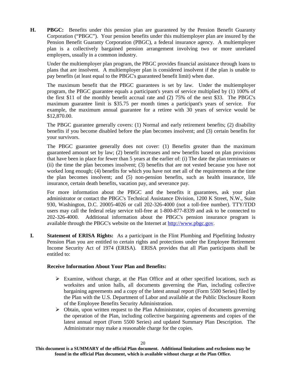**H. PBGC:** Benefits under this pension plan are guaranteed by the Pension Benefit Guaranty Corporation ("PBGC"). Your pension benefits under this multiemployer plan are insured by the Pension Benefit Guaranty Corporation (PBGC), a federal insurance agency. A multiemployer plan is a collectively bargained pension arrangement involving two or more unrelated employers, usually in a common industry.

Under the multiemployer plan program, the PBGC provides financial assistance through loans to plans that are insolvent. A multiemployer plan is considered insolvent if the plan is unable to pay benefits (at least equal to the PBGC's guaranteed benefit limit) when due.

The maximum benefit that the PBGC guarantees is set by law. Under the multiemployer program, the PBGC guarantee equals a participant's years of service multiplied by (1) 100% of the first \$11 of the monthly benefit accrual rate and (2) 75% of the next \$33. The PBGC's maximum guarantee limit is \$35.75 per month times a participant's years of service. For example, the maximum annual guarantee for a retiree with 30 years of service would be \$12,870.00.

The PBGC guarantee generally covers: (1) Normal and early retirement benefits; (2) disability benefits if you become disabled before the plan becomes insolvent; and (3) certain benefits for your survivors.

The PBGC guarantee generally does not cover: (1) Benefits greater than the maximum guaranteed amount set by law; (2) benefit increases and new benefits based on plan provisions that have been in place for fewer than 5 years at the earlier of: (i) The date the plan terminates or (ii) the time the plan becomes insolvent; (3) benefits that are not vested because you have not worked long enough; (4) benefits for which you have not met all of the requirements at the time the plan becomes insolvent; and (5) non-pension benefits, such as health insurance, life insurance, certain death benefits, vacation pay, and severance pay.

For more information about the PBGC and the benefits it guarantees, ask your plan administrator or contact the PBGC's Technical Assistance Division, 1200 K Street, N.W., Suite 930, Washington, D.C. 20005-4026 or call 202-326-4000 (not a toll-free number). TTY/TDD users may call the federal relay service toll-free at 1-800-877-8339 and ask to be connected to 202-326-4000. Additional information about the PBGC's pension insurance program is available through the PBGC's website on the Internet at http://www.pbgc.gov.

**I. Statement of ERISA Rights:** As a participant in the Flint Plumbing and Pipefitting Industry Pension Plan you are entitled to certain rights and protections under the Employee Retirement Income Security Act of 1974 (ERISA). ERISA provides that all Plan participants shall be entitled to:

#### **Receive Information About Your Plan and Benefits:**

- $\triangleright$  Examine, without charge, at the Plan Office and at other specified locations, such as worksites and union halls, all documents governing the Plan, including collective bargaining agreements and a copy of the latest annual report (Form 5500 Series) filed by the Plan with the U.S. Department of Labor and available at the Public Disclosure Room of the Employee Benefits Security Administration.
- $\triangleright$  Obtain, upon written request to the Plan Administrator, copies of documents governing the operation of the Plan, including collective bargaining agreements and copies of the latest annual report (Form 5500 Series) and updated Summary Plan Description. The Administrator may make a reasonable charge for the copies.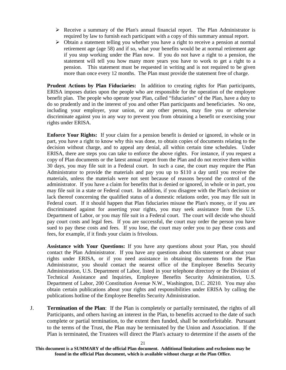- $\triangleright$  Receive a summary of the Plan's annual financial report. The Plan Administrator is required by law to furnish each participant with a copy of this summary annual report.
- $\triangleright$  Obtain a statement telling you whether you have a right to receive a pension at normal retirement age (age 58) and if so, what your benefits would be at normal retirement age if you stop working under the Plan now. If you do not have a right to a pension, the statement will tell you how many more years you have to work to get a right to a pension. This statement must be requested in writing and is not required to be given more than once every 12 months. The Plan must provide the statement free of charge.

**Prudent Actions by Plan Fiduciaries:** In addition to creating rights for Plan participants, ERISA imposes duties upon the people who are responsible for the operation of the employee benefit plan. The people who operate your Plan, called "fiduciaries" of the Plan, have a duty to do so prudently and in the interest of you and other Plan participants and beneficiaries. No one, including your employer, your union, or any other person, may fire you or otherwise discriminate against you in any way to prevent you from obtaining a benefit or exercising your rights under ERISA.

**Enforce Your Rights:** If your claim for a pension benefit is denied or ignored, in whole or in part, you have a right to know why this was done, to obtain copies of documents relating to the decision without charge, and to appeal any denial, all within certain time schedules. Under ERISA, there are steps you can take to enforce the above rights. For instance, if you request a copy of Plan documents or the latest annual report from the Plan and do not receive them within 30 days, you may file suit in a Federal court. In such a case, the court may require the Plan Administrator to provide the materials and pay you up to \$110 a day until you receive the materials, unless the materials were not sent because of reasons beyond the control of the administrator. If you have a claim for benefits that is denied or ignored, in whole or in part, you may file suit in a state or Federal court. In addition, if you disagree with the Plan's decision or lack thereof concerning the qualified status of a domestic relations order, you may file suit in Federal court. If it should happen that Plan fiduciaries misuse the Plan's money, or if you are discriminated against for asserting your rights, you may seek assistance from the U.S. Department of Labor, or you may file suit in a Federal court. The court will decide who should pay court costs and legal fees. If you are successful, the court may order the person you have sued to pay these costs and fees. If you lose, the court may order you to pay these costs and fees, for example, if it finds your claim is frivolous.

**Assistance with Your Questions:** If you have any questions about your Plan, you should contact the Plan Administrator. If you have any questions about this statement or about your rights under ERISA, or if you need assistance in obtaining documents from the Plan Administrator, you should contact the nearest office of the Employee Benefits Security Administration, U.S. Department of Labor, listed in your telephone directory or the Division of Technical Assistance and Inquiries, Employee Benefits Security Administration, U.S. Department of Labor, 200 Constitution Avenue N.W., Washington, D.C. 20210. You may also obtain certain publications about your rights and responsibilities under ERISA by calling the publications hotline of the Employee Benefits Security Administration.

J. **Termination of the Plan**: If the Plan is completely or partially terminated, the rights of all Participants, and others having an interest in the Plan, to benefits accrued to the date of such complete or partial termination, to the extent then funded, shall be nonforfeitable. Pursuant to the terms of the Trust, the Plan may be terminated by the Union and Association. If the Plan is terminated, the Trustees will direct the Plan's actuary to determine if the assets of the

**This document is a SUMMARY of the official Plan document. Additional limitations and exclusions may be found in the official Plan document, which is available without charge at the Plan Office.**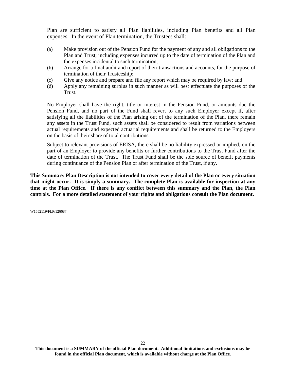Plan are sufficient to satisfy all Plan liabilities, including Plan benefits and all Plan expenses. In the event of Plan termination, the Trustees shall:

- (a) Make provision out of the Pension Fund for the payment of any and all obligations to the Plan and Trust; including expenses incurred up to the date of termination of the Plan and the expenses incidental to such termination;
- (b) Arrange for a final audit and report of their transactions and accounts, for the purpose of termination of their Trusteeship;
- (c) Give any notice and prepare and file any report which may be required by law; and
- (d) Apply any remaining surplus in such manner as will best effectuate the purposes of the Trust.

No Employer shall have the right, title or interest in the Pension Fund, or amounts due the Pension Fund, and no part of the Fund shall revert to any such Employer except if, after satisfying all the liabilities of the Plan arising out of the termination of the Plan, there remain any assets in the Trust Fund, such assets shall be considered to result from variations between actual requirements and expected actuarial requirements and shall be returned to the Employers on the basis of their share of total contributions.

Subject to relevant provisions of ERISA, there shall be no liability expressed or implied, on the part of an Employer to provide any benefits or further contributions to the Trust Fund after the date of termination of the Trust. The Trust Fund shall be the sole source of benefit payments during continuance of the Pension Plan or after termination of the Trust, if any.

**This Summary Plan Description is not intended to cover every detail of the Plan or every situation that might occur. It is simply a summary. The complete Plan is available for inspection at any time at the Plan Office. If there is any conflict between this summary and the Plan, the Plan controls. For a more detailed statement of your rights and obligations consult the Plan document.**

W1552119/FLP/126687